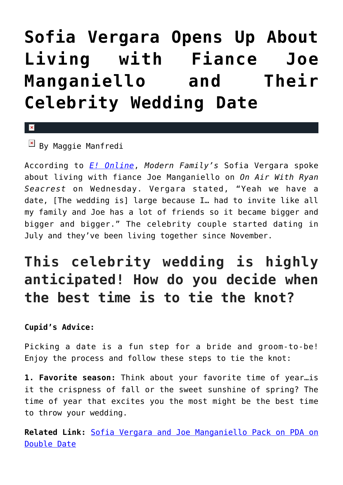## **[Sofia Vergara Opens Up About](https://cupidspulse.com/92660/sofia-vergara-living-with-fiance-joe-manganiello-celebrity-wedding-date/) [Living with Fiance Joe](https://cupidspulse.com/92660/sofia-vergara-living-with-fiance-joe-manganiello-celebrity-wedding-date/) [Manganiello and Their](https://cupidspulse.com/92660/sofia-vergara-living-with-fiance-joe-manganiello-celebrity-wedding-date/) [Celebrity Wedding Date](https://cupidspulse.com/92660/sofia-vergara-living-with-fiance-joe-manganiello-celebrity-wedding-date/)**

## $\overline{\mathbb{F}}$  By Maggie Manfredi

 $\mathbf x$ 

According to *[E! Online](http://www.eonline.com/news/654229/sofia-vergara-talks-living-with-joe-manganiello-wedding-date-and-what-makes-her-suspicious-listen)*, *Modern Family's* Sofia Vergara spoke about living with fiance Joe Manganiello on *On Air With Ryan Seacrest* on Wednesday. Vergara stated, "Yeah we have a date, [The wedding is] large because I… had to invite like all my family and Joe has a lot of friends so it became bigger and bigger and bigger." The celebrity couple started dating in July and they've been living together since November.

## **This celebrity wedding is highly anticipated! How do you decide when the best time is to tie the knot?**

## **Cupid's Advice:**

Picking a date is a fun step for a bride and groom-to-be! Enjoy the process and follow these steps to tie the knot:

**1. Favorite season:** Think about your favorite time of year…is it the crispness of fall or the sweet sunshine of spring? The time of year that excites you the most might be the best time to throw your wedding.

**Related Link:** [Sofia Vergara and Joe Manganiello Pack on PDA on](http://cupidspulse.com/78319/sofia-vergara-joe-manganiello-pda-double-date/) [Double Date](http://cupidspulse.com/78319/sofia-vergara-joe-manganiello-pda-double-date/)